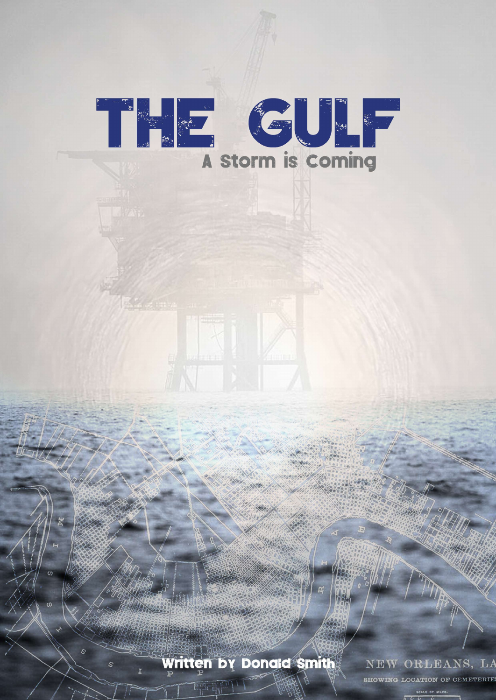# THE GULF

Written by Donald Smith

**Egin di P** 

NEW ORLEANS, LA

**SHOWING LOCATION OF CEMETERIE**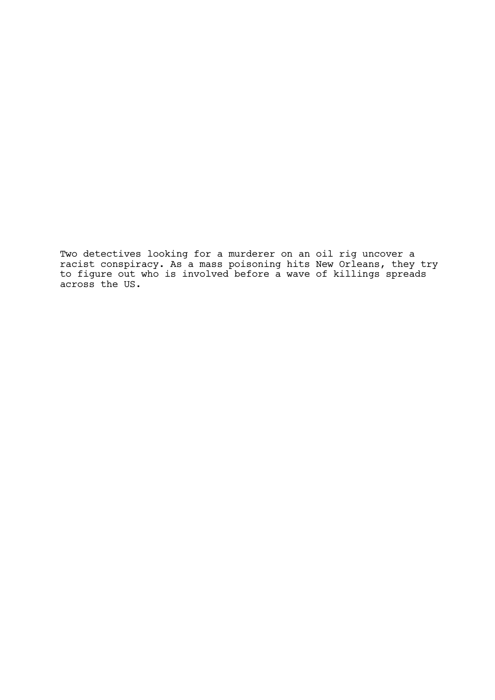Two detectives looking for a murderer on an oil rig uncover a racist conspiracy. As a mass poisoning hits New Orleans, they try to figure out who is involved before a wave of killings spreads across the US.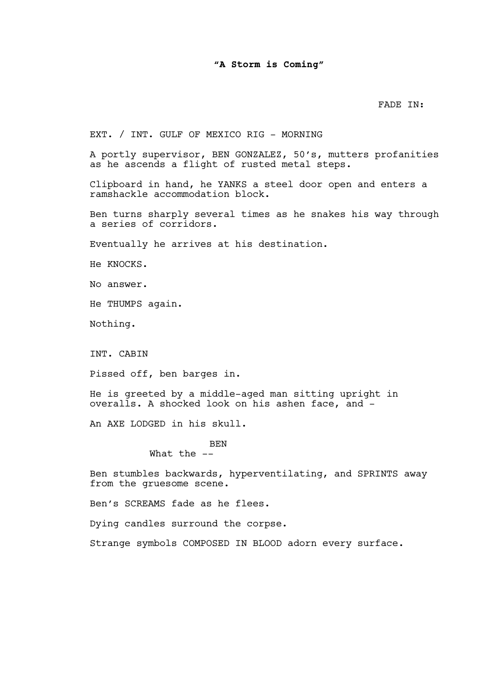# "A Storm is Coming"

# FADE IN:

EXT. / INT. GULF OF MEXICO RIG - MORNING

A portly supervisor, BEN GONZALEZ, 50's, mutters profanities as he ascends a flight of rusted metal steps.

Clipboard in hand, he YANKS a steel door open and enters a ramshackle accommodation block.

Ben turns sharply several times as he snakes his way through a series of corridors.

Eventually he arrives at his destination.

He KNOCKS.

No answer.

He THUMPS again.

Nothing.

INT. CABIN

Pissed off, ben barges in.

He is greeted by a middle-aged man sitting upright in overalls. A shocked look on his ashen face, and -

An AXE LODGED in his skull.

BEN

What the  $--$ 

Ben stumbles backwards, hyperventilating, and SPRINTS away from the gruesome scene.

Ben's SCREAMS fade as he flees.

Dying candles surround the corpse.

Strange symbols COMPOSED IN BLOOD adorn every surface.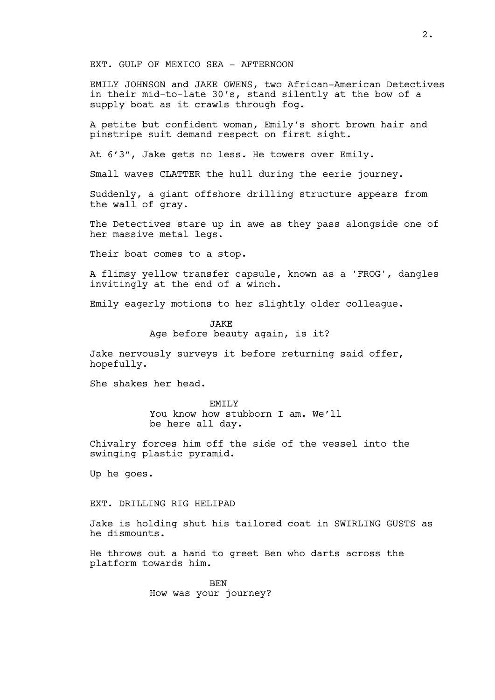EXT. GULF OF MEXICO SEA - AFTERNOON

EMILY JOHNSON and JAKE OWENS, two African-American Detectives in their mid-to-late 30's, stand silently at the bow of a supply boat as it crawls through fog.

A petite but confident woman, Emily's short brown hair and pinstripe suit demand respect on first sight.

At 6'3", Jake gets no less. He towers over Emily.

Small waves CLATTER the hull during the eerie journey.

Suddenly, a giant offshore drilling structure appears from the wall of gray.

The Detectives stare up in awe as they pass alongside one of her massive metal legs.

Their boat comes to a stop.

A flimsy yellow transfer capsule, known as a 'FROG', dangles invitingly at the end of a winch.

Emily eagerly motions to her slightly older colleague.

JAKE Age before beauty again, is it?

Jake nervously surveys it before returning said offer, hopefully.

She shakes her head.

EMILY You know how stubborn I am. We'll be here all day.

Chivalry forces him off the side of the vessel into the swinging plastic pyramid.

Up he goes.

### EXT. DRILLING RIG HELIPAD

Jake is holding shut his tailored coat in SWIRLING GUSTS as he dismounts.

He throws out a hand to greet Ben who darts across the platform towards him.

> BEN How was your journey?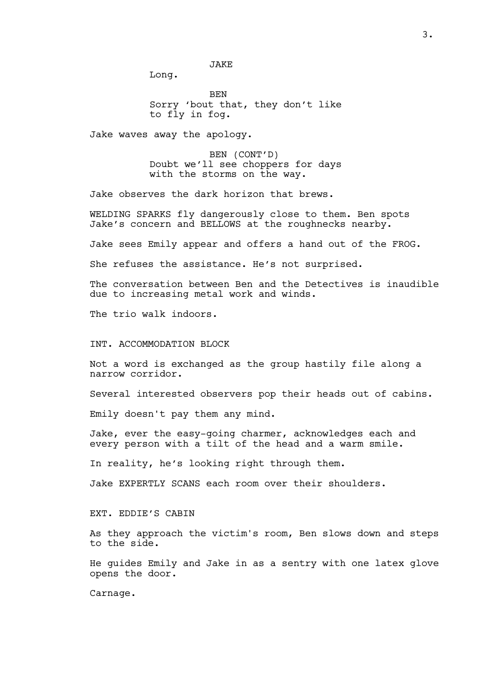JAKE

Long.

BEN Sorry 'bout that, they don't like to fly in fog.

Jake waves away the apology.

BEN (CONT'D) Doubt we'll see choppers for days with the storms on the way.

Jake observes the dark horizon that brews.

WELDING SPARKS fly dangerously close to them. Ben spots Jake's concern and BELLOWS at the roughnecks nearby.

Jake sees Emily appear and offers a hand out of the FROG.

She refuses the assistance. He's not surprised.

The conversation between Ben and the Detectives is inaudible due to increasing metal work and winds.

The trio walk indoors.

INT. ACCOMMODATION BLOCK

Not a word is exchanged as the group hastily file along a narrow corridor.

Several interested observers pop their heads out of cabins.

Emily doesn't pay them any mind.

Jake, ever the easy-going charmer, acknowledges each and every person with a tilt of the head and a warm smile.

In reality, he's looking right through them.

Jake EXPERTLY SCANS each room over their shoulders.

EXT. EDDIE'S CABIN

As they approach the victim's room, Ben slows down and steps to the side.

He guides Emily and Jake in as a sentry with one latex glove opens the door.

Carnage.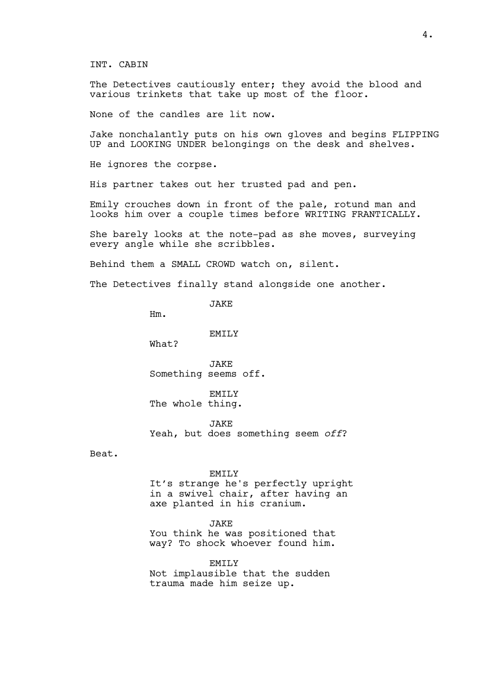INT. CABIN

The Detectives cautiously enter; they avoid the blood and various trinkets that take up most of the floor.

None of the candles are lit now.

Jake nonchalantly puts on his own gloves and begins FLIPPING UP and LOOKING UNDER belongings on the desk and shelves.

He ignores the corpse.

His partner takes out her trusted pad and pen.

Emily crouches down in front of the pale, rotund man and looks him over a couple times before WRITING FRANTICALLY.

She barely looks at the note-pad as she moves, surveying every angle while she scribbles.

Behind them a SMALL CROWD watch on, silent.

The Detectives finally stand alongside one another.

JAKE

Hm.

EMTT<sub>.</sub>Y

What?

JAKE Something seems off.

EMILY The whole thing.

JAKE Yeah, but does something seem off?

Beat.

### EMILY

It's strange he's perfectly upright in a swivel chair, after having an axe planted in his cranium.

JAKE

You think he was positioned that way? To shock whoever found him.

EMILY

Not implausible that the sudden trauma made him seize up.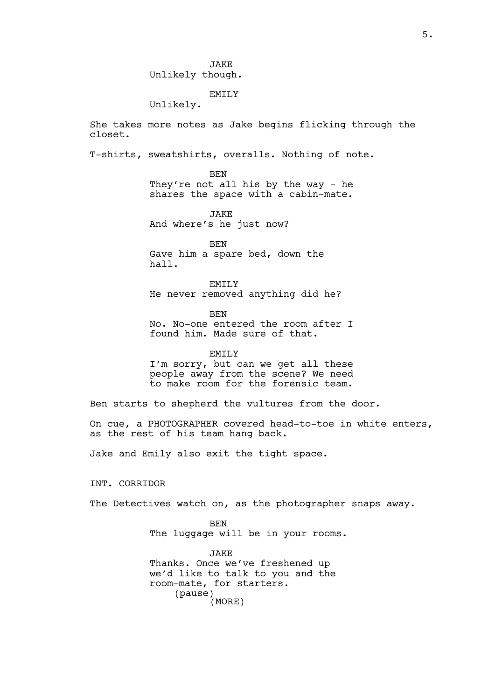**JAKE** Unlikely though.

# EMILY

Unlikely.

She takes more notes as Jake begins flicking through the closet.

T-shirts, sweatshirts, overalls. Nothing of note.

BEN They're not all his by the way - he shares the space with a cabin-mate.

JAKE And where's he just now?

BEN Gave him a spare bed, down the hall.

EMILY He never removed anything did he?

BEN No. No-one entered the room after I found him. Made sure of that.

EMILY I'm sorry, but can we get all these people away from the scene? We need to make room for the forensic team.

Ben starts to shepherd the vultures from the door.

On cue, a PHOTOGRAPHER covered head-to-toe in white enters, as the rest of his team hang back.

Jake and Emily also exit the tight space.

INT. CORRIDOR

The Detectives watch on, as the photographer snaps away.

BEN The luggage will be in your rooms.

JAKE Thanks. Once we've freshened up we'd like to talk to you and the room-mate, for starters. (pause) (MORE)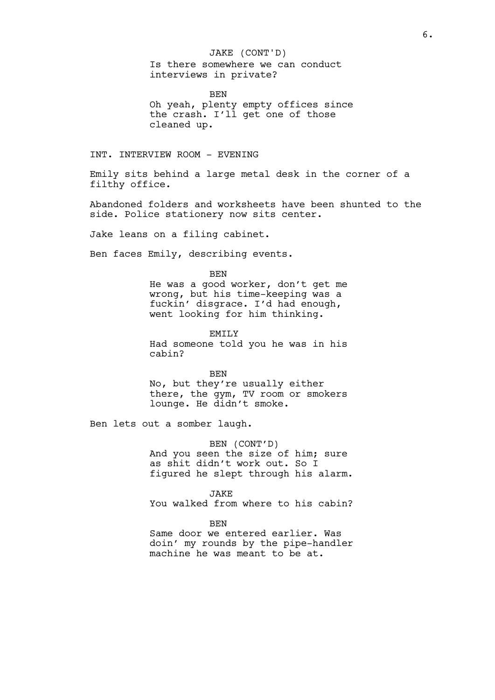## JAKE (CONT'D)

Is there somewhere we can conduct interviews in private?

BEN Oh yeah, plenty empty offices since the crash. I'll get one of those cleaned up.

INT. INTERVIEW ROOM - EVENING

Emily sits behind a large metal desk in the corner of a filthy office.

Abandoned folders and worksheets have been shunted to the side. Police stationery now sits center.

Jake leans on a filing cabinet.

Ben faces Emily, describing events.

**BEN** 

He was a good worker, don't get me wrong, but his time-keeping was a fuckin' disgrace. I'd had enough, went looking for him thinking.

EMILY Had someone told you he was in his cabin?

BEN No, but they're usually either there, the gym, TV room or smokers lounge. He didn't smoke.

Ben lets out a somber laugh.

BEN (CONT'D) And you seen the size of him; sure as shit didn't work out. So I figured he slept through his alarm.

JAKE

You walked from where to his cabin?

BEN

Same door we entered earlier. Was doin' my rounds by the pipe-handler machine he was meant to be at.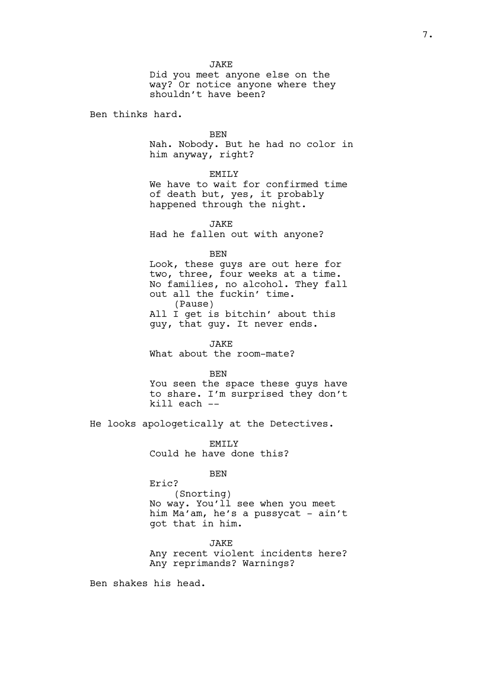**JAKE** Did you meet anyone else on the way? Or notice anyone where they shouldn't have been?

Ben thinks hard.

BEN

Nah. Nobody. But he had no color in him anyway, right?

EMILY

We have to wait for confirmed time of death but, yes, it probably happened through the night.

**JAKE** Had he fallen out with anyone?

BEN

Look, these guys are out here for two, three, four weeks at a time. No families, no alcohol. They fall out all the fuckin' time. (Pause) All I get is bitchin' about this guy, that guy. It never ends.

JAKE What about the room-mate?

BEN

You seen the space these guys have to share. I'm surprised they don't kill each --

He looks apologetically at the Detectives.

EMTT<sub>.</sub>Y Could he have done this?

BEN

Eric? (Snorting) No way. You'll see when you meet him Ma'am, he's a pussycat - ain't got that in him.

JAKE Any recent violent incidents here? Any reprimands? Warnings?

Ben shakes his head.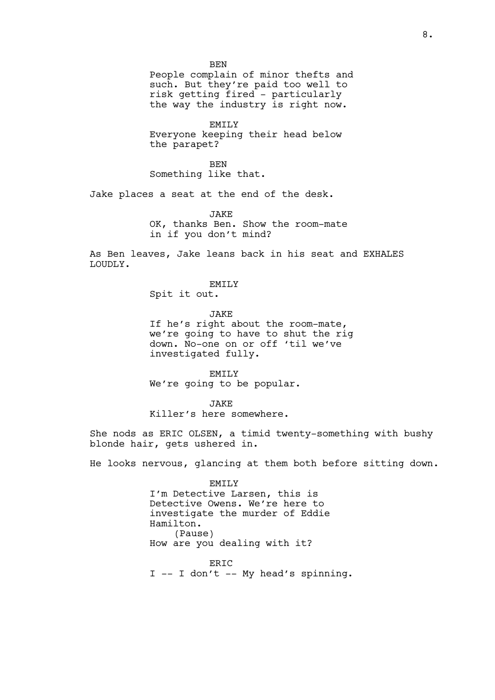**BEN** People complain of minor thefts and such. But they're paid too well to risk getting fired - particularly the way the industry is right now.

EMTT<sub>.</sub>Y Everyone keeping their head below the parapet?

**BEN** Something like that.

Jake places a seat at the end of the desk.

JAKE OK, thanks Ben. Show the room-mate in if you don't mind?

As Ben leaves, Jake leans back in his seat and EXHALES LOUDLY.

EMILY

Spit it out.

JAKE

If he's right about the room-mate, we're going to have to shut the rig down. No-one on or off 'til we've investigated fully.

EMILY We're going to be popular.

JAKE

Killer's here somewhere.

She nods as ERIC OLSEN, a timid twenty-something with bushy blonde hair, gets ushered in.

He looks nervous, glancing at them both before sitting down.

EMILY I'm Detective Larsen, this is Detective Owens. We're here to investigate the murder of Eddie Hamilton. (Pause) How are you dealing with it?

ERIC I -- I don't -- My head's spinning.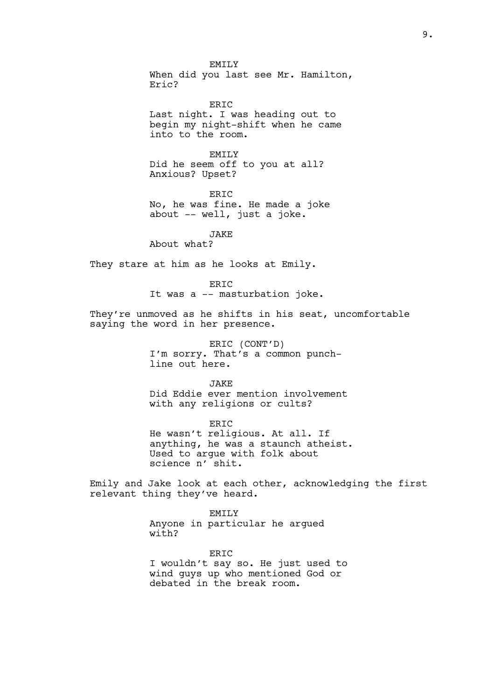EMTT<sub>.</sub>Y When did you last see Mr. Hamilton, Eric?

ERIC Last night. I was heading out to begin my night-shift when he came into to the room.

EMTT<sub>.</sub>Y Did he seem off to you at all? Anxious? Upset?

**ERTC** No, he was fine. He made a joke about -- well, just a joke.

JAKE

About what?

They stare at him as he looks at Emily.

### ERIC

It was a -- masturbation joke.

They're unmoved as he shifts in his seat, uncomfortable saying the word in her presence.

> ERIC (CONT'D) I'm sorry. That's a common punchline out here.

JAKE Did Eddie ever mention involvement with any religions or cults?

ERIC He wasn't religious. At all. If anything, he was a staunch atheist. Used to argue with folk about science n' shit.

Emily and Jake look at each other, acknowledging the first relevant thing they've heard.

> EMILY Anyone in particular he argued with?

ERIC I wouldn't say so. He just used to wind guys up who mentioned God or debated in the break room.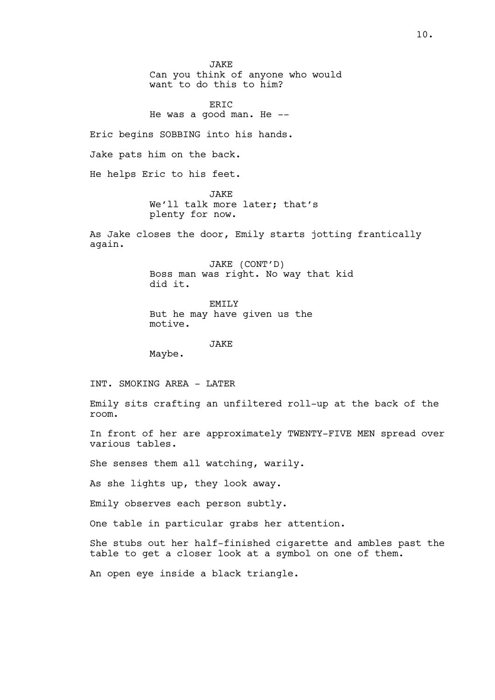**JAKE** Can you think of anyone who would want to do this to him?

ERIC He was a good man. He --

Eric begins SOBBING into his hands.

Jake pats him on the back.

He helps Eric to his feet.

**JAKE** We'll talk more later; that's plenty for now.

As Jake closes the door, Emily starts jotting frantically again.

> JAKE (CONT'D) Boss man was right. No way that kid did it.

EMILY But he may have given us the motive.

JAKE

Maybe.

INT. SMOKING AREA - LATER

Emily sits crafting an unfiltered roll-up at the back of the room.

In front of her are approximately TWENTY-FIVE MEN spread over various tables.

She senses them all watching, warily.

As she lights up, they look away.

Emily observes each person subtly.

One table in particular grabs her attention.

She stubs out her half-finished cigarette and ambles past the table to get a closer look at a symbol on one of them.

An open eye inside a black triangle.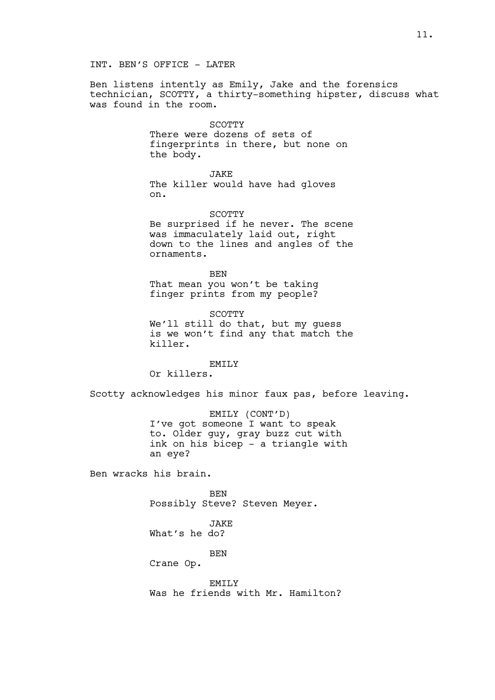# INT. BEN'S OFFICE - LATER

Ben listens intently as Emily, Jake and the forensics technician, SCOTTY, a thirty-something hipster, discuss what was found in the room.

### **SCOTTY**

There were dozens of sets of fingerprints in there, but none on the body.

JAKE The killer would have had gloves on.

SCOTTY Be surprised if he never. The scene was immaculately laid out, right down to the lines and angles of the ornaments.

BEN That mean you won't be taking finger prints from my people?

SCOTTY We'll still do that, but my quess is we won't find any that match the killer.

EMILY Or killers.

Scotty acknowledges his minor faux pas, before leaving.

EMILY (CONT'D) I've got someone I want to speak to. Older guy, gray buzz cut with ink on his bicep - a triangle with an eye?

Ben wracks his brain.

BEN Possibly Steve? Steven Meyer.

JAKE What's he do?

BEN

Crane Op.

EMILY Was he friends with Mr. Hamilton?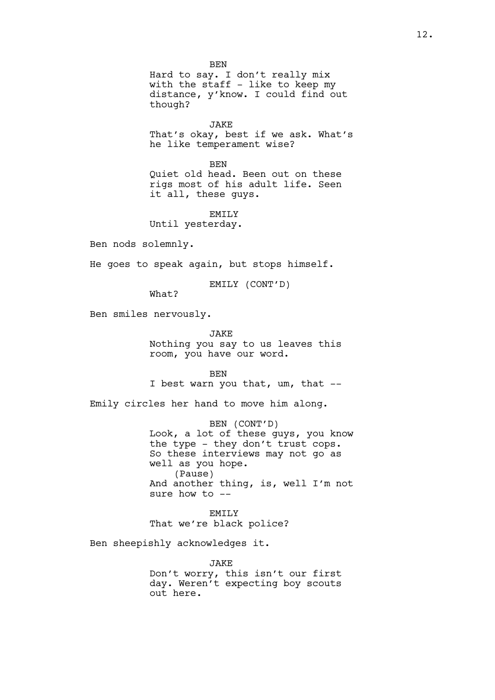BEN Hard to say. I don't really mix with the staff - like to keep my distance, y'know. I could find out though?

**JAKE** That's okay, best if we ask. What's he like temperament wise?

**BEN** Quiet old head. Been out on these rigs most of his adult life. Seen it all, these guys.

EMILY

Until yesterday.

Ben nods solemnly.

He goes to speak again, but stops himself.

EMILY (CONT'D)

What?

Ben smiles nervously.

JAKE

Nothing you say to us leaves this room, you have our word.

BEN

I best warn you that, um, that --

Emily circles her hand to move him along.

BEN (CONT'D) Look, a lot of these guys, you know the type - they don't trust cops. So these interviews may not go as well as you hope. (Pause) And another thing, is, well I'm not sure how to --

EMILY That we're black police?

Ben sheepishly acknowledges it.

JAKE Don't worry, this isn't our first day. Weren't expecting boy scouts out here.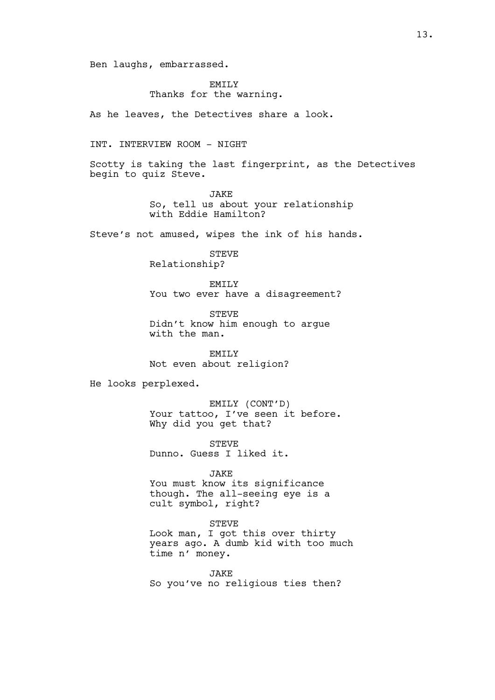Ben laughs, embarrassed.

# EMTT<sub>.</sub>Y Thanks for the warning.

As he leaves, the Detectives share a look.

# INT. INTERVIEW ROOM - NIGHT

Scotty is taking the last fingerprint, as the Detectives begin to quiz Steve.

> **JAKE** So, tell us about your relationship with Eddie Hamilton?

Steve's not amused, wipes the ink of his hands.

STEVE Relationship?

EMILY You two ever have a disagreement?

STEVE Didn't know him enough to argue with the man.

EMILY Not even about religion?

He looks perplexed.

EMILY (CONT'D) Your tattoo, I've seen it before. Why did you get that?

**STEVE** Dunno. Guess I liked it.

JAKE You must know its significance though. The all-seeing eye is a cult symbol, right?

STEVE

Look man, I got this over thirty years ago. A dumb kid with too much time n' money.

JAKE So you've no religious ties then?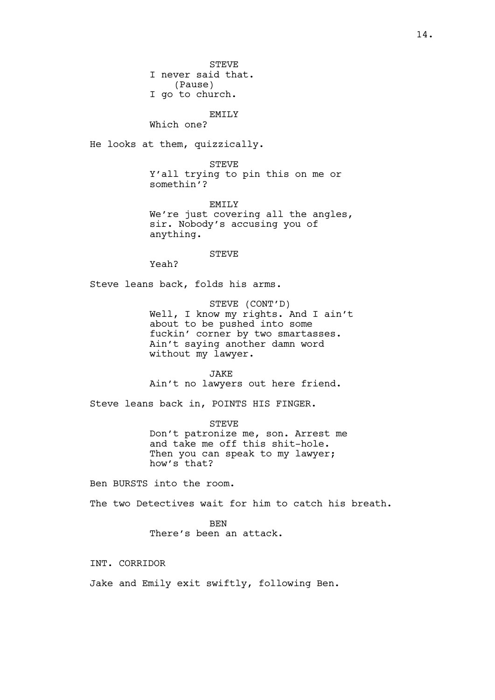STEVE I never said that. (Pause) I go to church.

EMILY Which one?

He looks at them, quizzically.

**STEVE** Y'all trying to pin this on me or somethin'?

EMILY We're just covering all the angles, sir. Nobody's accusing you of anything.

**STEVE** 

Yeah?

Steve leans back, folds his arms.

STEVE (CONT'D) Well, I know my rights. And I ain't about to be pushed into some fuckin' corner by two smartasses. Ain't saying another damn word without my lawyer.

JAKE Ain't no lawyers out here friend.

Steve leans back in, POINTS HIS FINGER.

STEVE Don't patronize me, son. Arrest me and take me off this shit-hole. Then you can speak to my lawyer; how's that?

Ben BURSTS into the room.

The two Detectives wait for him to catch his breath.

BEN There's been an attack.

INT. CORRIDOR

Jake and Emily exit swiftly, following Ben.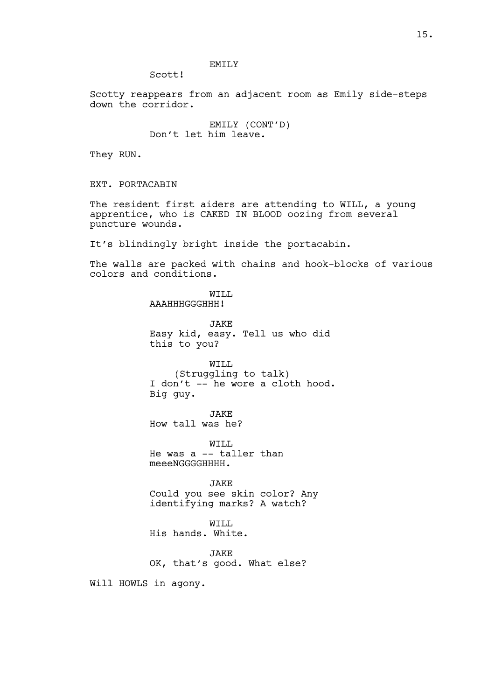# EMILY

Scott!

Scotty reappears from an adjacent room as Emily side-steps down the corridor.

> EMILY (CONT'D) Don't let him leave.

They RUN.

EXT. PORTACABIN

The resident first aiders are attending to WILL, a young apprentice, who is CAKED IN BLOOD oozing from several puncture wounds.

It's blindingly bright inside the portacabin.

The walls are packed with chains and hook-blocks of various colors and conditions.

> WILL AAAHHHGGGHHH! JAKE Easy kid, easy. Tell us who did this to you? WILL (Struggling to talk) I don't -- he wore a cloth hood. Big guy. JAKE How tall was he? WTT.T. He was a -- taller than meeeNGGGGHHHH. JAKE Could you see skin color? Any identifying marks? A watch? WILL His hands. White.

**JAKE** OK, that's good. What else?

Will HOWLS in agony.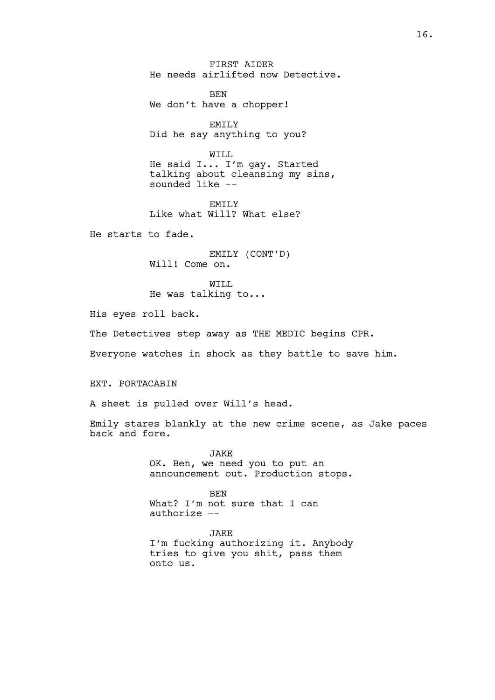FIRST AIDER He needs airlifted now Detective.

BEN We don't have a chopper!

EMTT<sub>y</sub> Did he say anything to you?

WTT.T. He said I... I'm gay. Started talking about cleansing my sins, sounded like --

EMTT<sub>.</sub>Y Like what Will? What else?

He starts to fade.

EMILY (CONT'D) Will! Come on.

WILL He was talking to...

His eyes roll back.

The Detectives step away as THE MEDIC begins CPR.

Everyone watches in shock as they battle to save him.

EXT. PORTACABIN

A sheet is pulled over Will's head.

Emily stares blankly at the new crime scene, as Jake paces back and fore.

> JAKE OK. Ben, we need you to put an announcement out. Production stops.

BEN What? I'm not sure that I can authorize --

JAKE I'm fucking authorizing it. Anybody tries to give you shit, pass them onto us.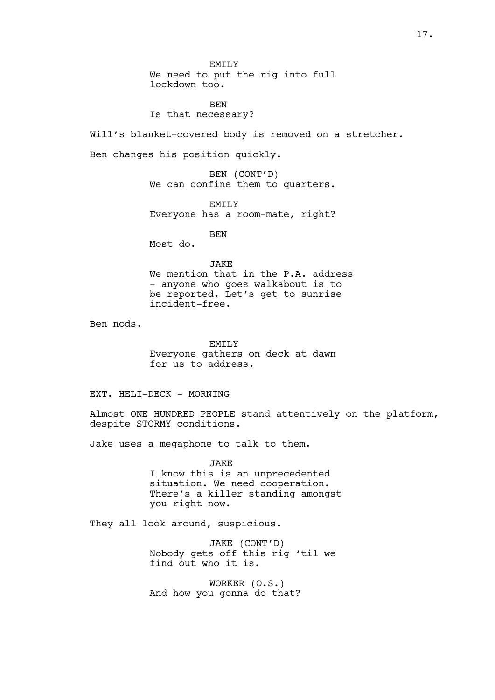EMTT<sub>.</sub>Y We need to put the rig into full lockdown too.

BEN Is that necessary?

Will's blanket-covered body is removed on a stretcher.

Ben changes his position quickly.

BEN (CONT'D) We can confine them to quarters.

EMILY Everyone has a room-mate, right?

**BEN** 

Most do.

### JAKE

We mention that in the P.A. address - anyone who goes walkabout is to be reported. Let's get to sunrise incident-free.

Ben nods.

EMTT<sub>.</sub>Y Everyone gathers on deck at dawn for us to address.

EXT. HELI-DECK - MORNING

Almost ONE HUNDRED PEOPLE stand attentively on the platform, despite STORMY conditions.

Jake uses a megaphone to talk to them.

JAKE I know this is an unprecedented situation. We need cooperation. There's a killer standing amongst you right now.

They all look around, suspicious.

JAKE (CONT'D) Nobody gets off this rig 'til we find out who it is.

WORKER (O.S.) And how you gonna do that?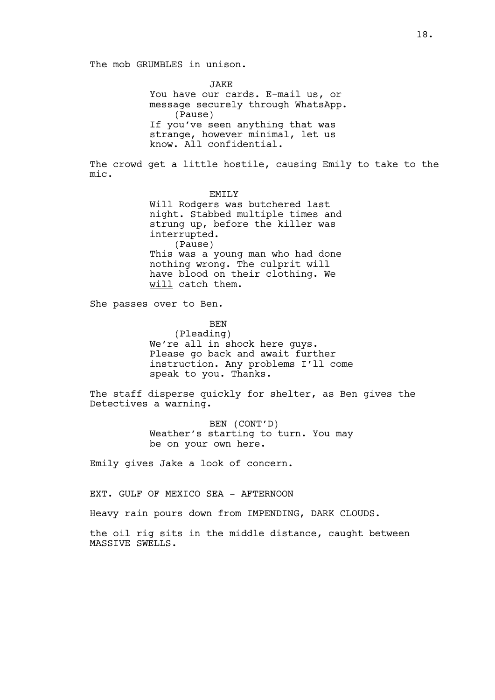**JAKE** You have our cards. E-mail us, or message securely through WhatsApp. (Pause) If you've seen anything that was strange, however minimal, let us know. All confidential.

The crowd get a little hostile, causing Emily to take to the mic.

> EMTT<sub>.</sub>Y Will Rodgers was butchered last night. Stabbed multiple times and strung up, before the killer was interrupted. (Pause) This was a young man who had done nothing wrong. The culprit will have blood on their clothing. We will catch them.

She passes over to Ben.

BEN

(Pleading) We're all in shock here guys. Please go back and await further instruction. Any problems I'll come speak to you. Thanks.

The staff disperse quickly for shelter, as Ben gives the Detectives a warning.

> BEN (CONT'D) Weather's starting to turn. You may be on your own here.

Emily gives Jake a look of concern.

EXT. GULF OF MEXICO SEA - AFTERNOON

Heavy rain pours down from IMPENDING, DARK CLOUDS.

the oil rig sits in the middle distance, caught between MASSIVE SWELLS.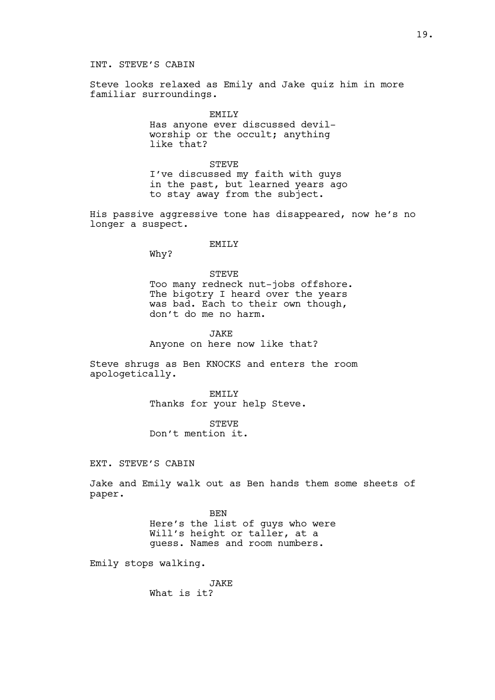Steve looks relaxed as Emily and Jake quiz him in more familiar surroundings.

EMILY

Has anyone ever discussed devilworship or the occult; anything like that?

**STEVE** I've discussed my faith with guys in the past, but learned years ago to stay away from the subject.

His passive aggressive tone has disappeared, now he's no longer a suspect.

# EMTT<sub>.</sub>Y

Why?

# **STEVE**

Too many redneck nut-jobs offshore. The bigotry I heard over the years was bad. Each to their own though, don't do me no harm.

**JAKE** Anyone on here now like that?

Steve shrugs as Ben KNOCKS and enters the room apologetically.

> EMILY Thanks for your help Steve.

STEVE Don't mention it.

EXT. STEVE'S CABIN

Jake and Emily walk out as Ben hands them some sheets of paper.

> BEN Here's the list of guys who were Will's height or taller, at a guess. Names and room numbers.

Emily stops walking.

JAKE What is it?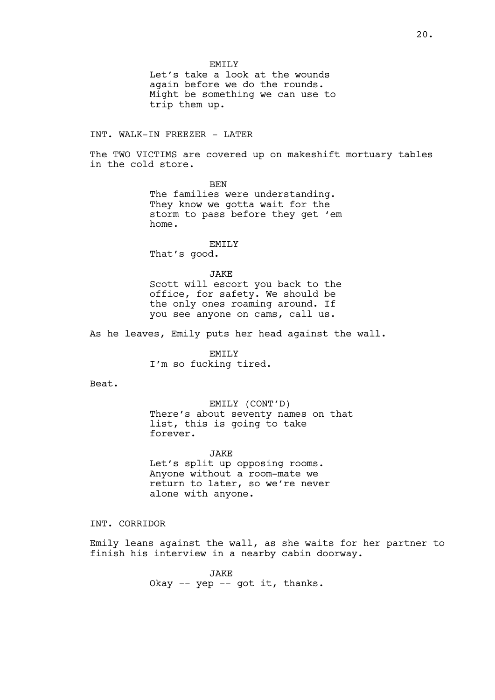20.

EMTT<sub>.</sub>Y Let's take a look at the wounds again before we do the rounds. Might be something we can use to trip them up.

INT. WALK-IN FREEZER - LATER

The TWO VICTIMS are covered up on makeshift mortuary tables in the cold store.

> **BEN** The families were understanding. They know we gotta wait for the storm to pass before they get 'em home.

> > EMTT<sub>.</sub>Y

That's good.

**JAKE** 

Scott will escort you back to the office, for safety. We should be the only ones roaming around. If you see anyone on cams, call us.

As he leaves, Emily puts her head against the wall.

EMILY I'm so fucking tired.

Beat.

EMILY (CONT'D) There's about seventy names on that list, this is going to take forever.

JAKE Let's split up opposing rooms. Anyone without a room-mate we return to later, so we're never alone with anyone.

INT. CORRIDOR

Emily leans against the wall, as she waits for her partner to finish his interview in a nearby cabin doorway.

> JAKE Okay -- yep -- got it, thanks.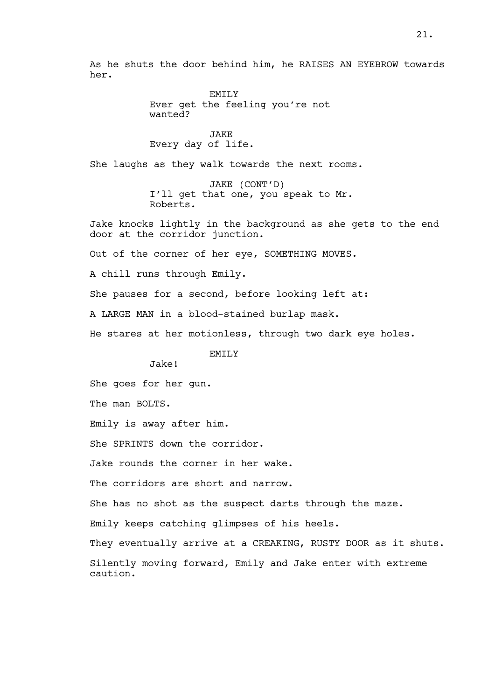As he shuts the door behind him, he RAISES AN EYEBROW towards her.

> EMILY Ever get the feeling you're not wanted?

JAKE Every day of life.

She laughs as they walk towards the next rooms.

JAKE (CONT'D) I'll get that one, you speak to Mr. Roberts.

Jake knocks lightly in the background as she gets to the end door at the corridor junction.

Out of the corner of her eye, SOMETHING MOVES.

A chill runs through Emily.

She pauses for a second, before looking left at:

A LARGE MAN in a blood-stained burlap mask.

He stares at her motionless, through two dark eye holes.

EMILY

Jake!

She goes for her gun.

The man BOLTS.

Emily is away after him.

She SPRINTS down the corridor.

Jake rounds the corner in her wake.

The corridors are short and narrow.

She has no shot as the suspect darts through the maze.

Emily keeps catching glimpses of his heels.

They eventually arrive at a CREAKING, RUSTY DOOR as it shuts. Silently moving forward, Emily and Jake enter with extreme caution.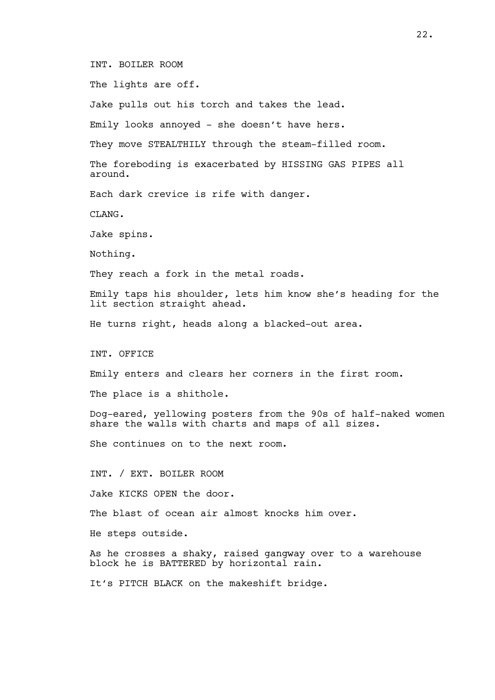INT. BOILER ROOM

The lights are off.

Jake pulls out his torch and takes the lead.

Emily looks annoyed - she doesn't have hers.

They move STEALTHILY through the steam-filled room.

The foreboding is exacerbated by HISSING GAS PIPES all around.

Each dark crevice is rife with danger.

CLANG.

Jake spins.

Nothing.

They reach a fork in the metal roads.

Emily taps his shoulder, lets him know she's heading for the lit section straight ahead.

He turns right, heads along a blacked-out area.

INT. OFFICE

Emily enters and clears her corners in the first room.

The place is a shithole.

Dog-eared, yellowing posters from the 90s of half-naked women share the walls with charts and maps of all sizes.

She continues on to the next room.

INT. / EXT. BOILER ROOM

Jake KICKS OPEN the door.

The blast of ocean air almost knocks him over.

He steps outside.

As he crosses a shaky, raised gangway over to a warehouse block he is BATTERED by horizontal rain.

It's PITCH BLACK on the makeshift bridge.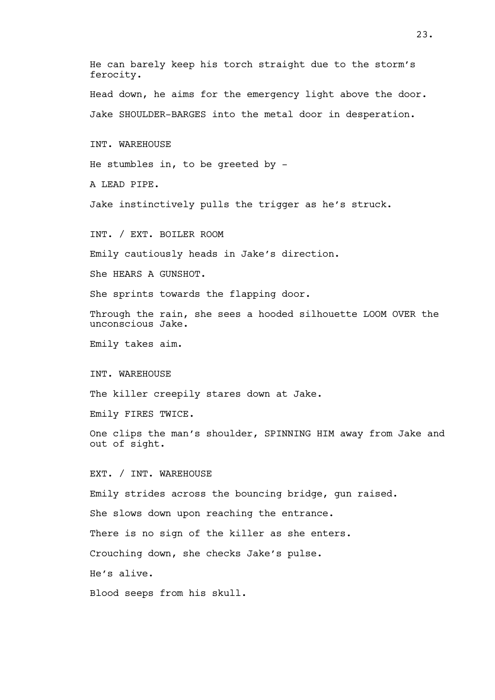He can barely keep his torch straight due to the storm's ferocity. Head down, he aims for the emergency light above the door. Jake SHOULDER-BARGES into the metal door in desperation. INT. WAREHOUSE He stumbles in, to be greeted by - A LEAD PIPE. Jake instinctively pulls the trigger as he's struck. INT. / EXT. BOILER ROOM Emily cautiously heads in Jake's direction. She HEARS A GUNSHOT. She sprints towards the flapping door. Through the rain, she sees a hooded silhouette LOOM OVER the unconscious Jake. Emily takes aim. INT. WAREHOUSE The killer creepily stares down at Jake. Emily FIRES TWICE. One clips the man's shoulder, SPINNING HIM away from Jake and out of sight. EXT. / INT. WAREHOUSE Emily strides across the bouncing bridge, gun raised. She slows down upon reaching the entrance. There is no sign of the killer as she enters. Crouching down, she checks Jake's pulse. He's alive. Blood seeps from his skull.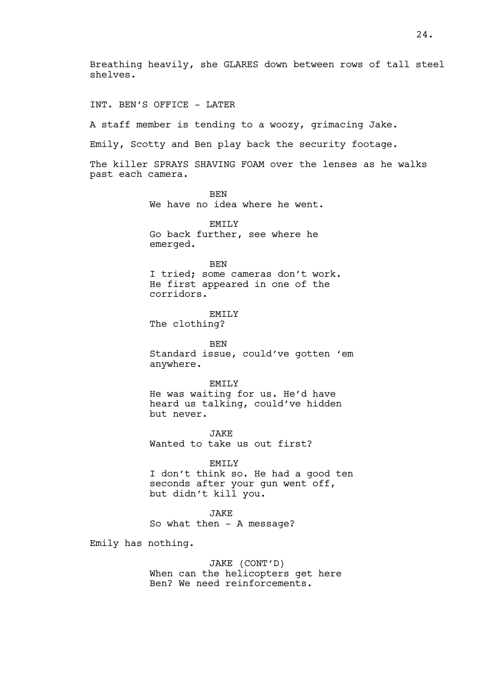Breathing heavily, she GLARES down between rows of tall steel shelves.

INT. BEN'S OFFICE - LATER

A staff member is tending to a woozy, grimacing Jake.

Emily, Scotty and Ben play back the security footage.

The killer SPRAYS SHAVING FOAM over the lenses as he walks past each camera.

> **BEN** We have no idea where he went.

EMTT<sub>.</sub>Y Go back further, see where he emerged.

BEN

I tried; some cameras don't work. He first appeared in one of the corridors.

EMILY The clothing?

BEN Standard issue, could've gotten 'em anywhere.

EMILY

He was waiting for us. He'd have heard us talking, could've hidden but never.

**JAKE** Wanted to take us out first?

EMILY

I don't think so. He had a good ten seconds after your gun went off, but didn't kill you.

JAKE So what then - A message?

Emily has nothing.

JAKE (CONT'D) When can the helicopters get here Ben? We need reinforcements.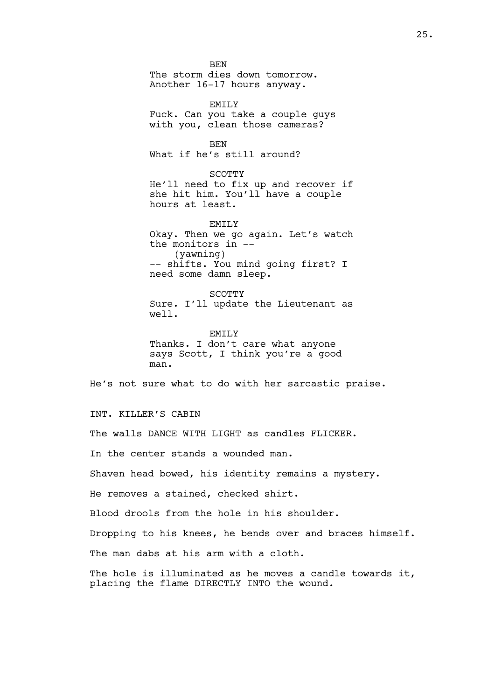BEN The storm dies down tomorrow. Another 16-17 hours anyway. EMILY Fuck. Can you take a couple guys with you, clean those cameras? BEN What if he's still around? SCOTTY He'll need to fix up and recover if she hit him. You'll have a couple hours at least. EMTT<sub>.</sub>Y Okay. Then we go again. Let's watch the monitors in -- (yawning) -- shifts. You mind going first? I need some damn sleep. SCOTTY

Sure. I'll update the Lieutenant as well.

EMILY Thanks. I don't care what anyone says Scott, I think you're a good man.

He's not sure what to do with her sarcastic praise.

INT. KILLER'S CABIN

The walls DANCE WITH LIGHT as candles FLICKER.

In the center stands a wounded man.

Shaven head bowed, his identity remains a mystery.

He removes a stained, checked shirt.

Blood drools from the hole in his shoulder.

Dropping to his knees, he bends over and braces himself.

The man dabs at his arm with a cloth.

The hole is illuminated as he moves a candle towards it, placing the flame DIRECTLY INTO the wound.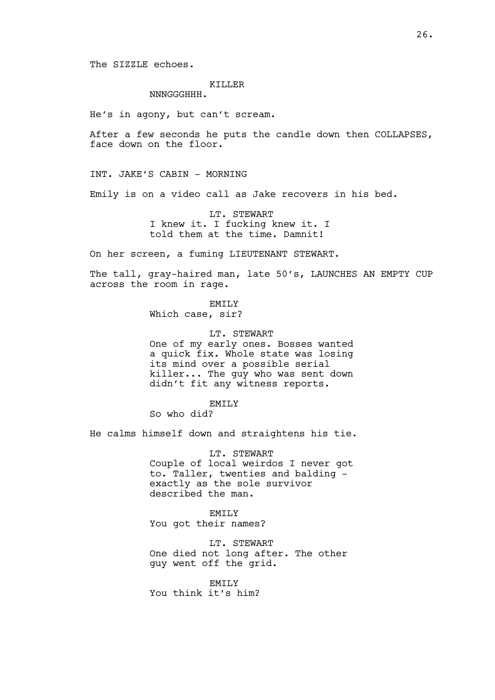The SIZZLE echoes.

### KILLER

NNNGGGHHH.

He's in agony, but can't scream.

After a few seconds he puts the candle down then COLLAPSES, face down on the floor.

INT. JAKE'S CABIN - MORNING

Emily is on a video call as Jake recovers in his bed.

LT. STEWART I knew it. I fucking knew it. I told them at the time. Damnit!

On her screen, a fuming LIEUTENANT STEWART.

The tall, gray-haired man, late 50's, LAUNCHES AN EMPTY CUP across the room in rage.

EMILY

Which case, sir?

LT. STEWART One of my early ones. Bosses wanted a quick fix. Whole state was losing

its mind over a possible serial killer... The guy who was sent down didn't fit any witness reports.

EMILY

So who did?

He calms himself down and straightens his tie.

LT. STEWART Couple of local weirdos I never got to. Taller, twenties and balding exactly as the sole survivor described the man.

EMILY You got their names?

LT. STEWART One died not long after. The other guy went off the grid.

EMILY You think it's him?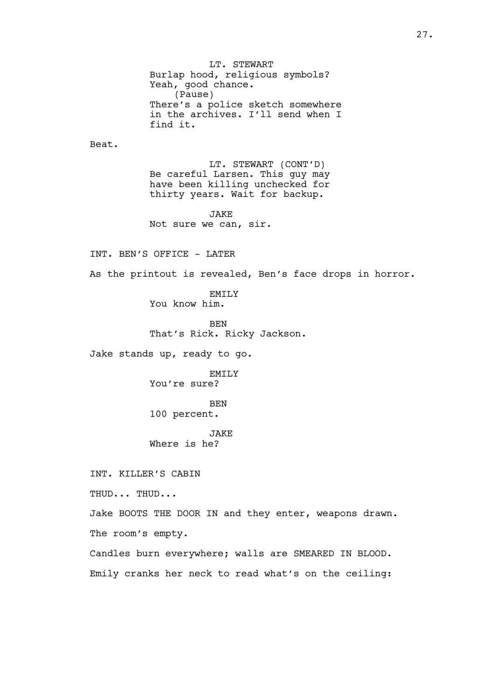Burlap hood, religious symbols? Yeah, good chance. (Pause) There's a police sketch somewhere in the archives. I'll send when I find it. Beat. LT. STEWART (CONT'D) Be careful Larsen. This guy may have been killing unchecked for thirty years. Wait for backup. JAKE Not sure we can, sir. INT. BEN'S OFFICE - LATER As the printout is revealed, Ben's face drops in horror. EMILY You know him. BEN That's Rick. Ricky Jackson. Jake stands up, ready to go. EMTT<sub>.</sub>Y You're sure? BEN 100 percent. JAKE Where is he? INT. KILLER'S CABIN THUD... THUD... Jake BOOTS THE DOOR IN and they enter, weapons drawn. The room's empty. Candles burn everywhere; walls are SMEARED IN BLOOD. Emily cranks her neck to read what's on the ceiling:

LT. STEWART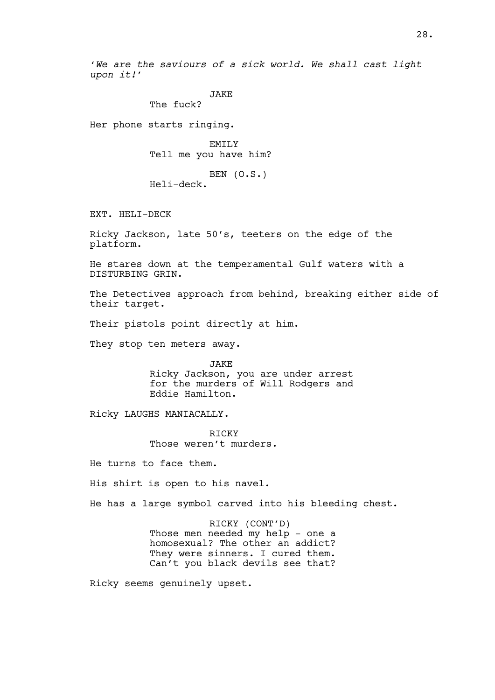'We are the saviours of a sick world. We shall cast light upon it!'

**JAKE** 

The fuck?

Her phone starts ringing.

**EMILY** Tell me you have him?

BEN (O.S.) Heli-deck.

EXT. HELI-DECK

Ricky Jackson, late 50's, teeters on the edge of the platform.

He stares down at the temperamental Gulf waters with a DISTURBING GRIN.

The Detectives approach from behind, breaking either side of their target.

Their pistols point directly at him.

They stop ten meters away.

JAKE

Ricky Jackson, you are under arrest for the murders of Will Rodgers and Eddie Hamilton.

Ricky LAUGHS MANIACALLY.

**RTCKY** Those weren't murders.

He turns to face them.

His shirt is open to his navel.

He has a large symbol carved into his bleeding chest.

RICKY (CONT'D)

Those men needed my help - one a homosexual? The other an addict? They were sinners. I cured them. Can't you black devils see that?

Ricky seems genuinely upset.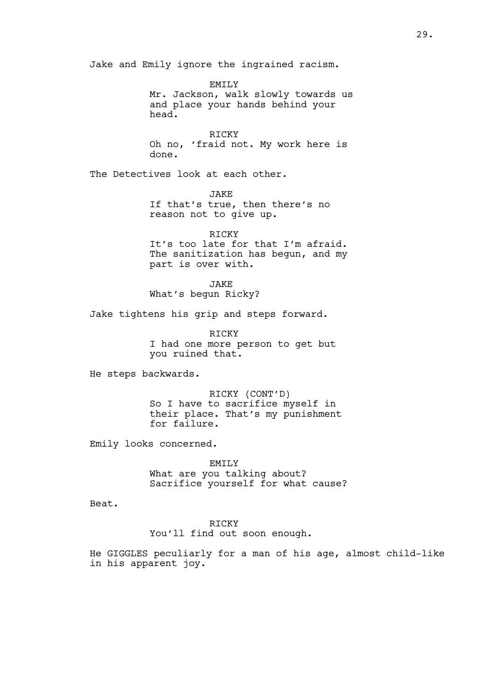Jake and Emily ignore the ingrained racism.

EMTT<sub>.</sub>Y Mr. Jackson, walk slowly towards us and place your hands behind your head.

**RICKY** Oh no, 'fraid not. My work here is done.

The Detectives look at each other.

JAKE If that's true, then there's no reason not to give up.

RICKY It's too late for that I'm afraid. The sanitization has begun, and my part is over with.

JAKE What's begun Ricky?

Jake tightens his grip and steps forward.

RICKY I had one more person to get but you ruined that.

He steps backwards.

RICKY (CONT'D) So I have to sacrifice myself in their place. That's my punishment for failure.

Emily looks concerned.

EMILY What are you talking about? Sacrifice yourself for what cause?

Beat.

RICKY You'll find out soon enough.

He GIGGLES peculiarly for a man of his age, almost child-like in his apparent joy.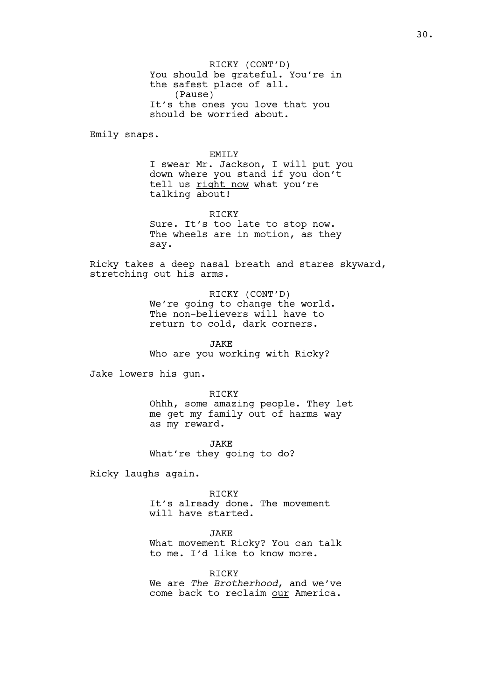RICKY (CONT'D) You should be grateful. You're in the safest place of all. (Pause) It's the ones you love that you should be worried about.

Emily snaps.

### EMTT<sub>.</sub>Y

I swear Mr. Jackson, I will put you down where you stand if you don't tell us right now what you're talking about!

RICKY Sure. It's too late to stop now. The wheels are in motion, as they say.

Ricky takes a deep nasal breath and stares skyward, stretching out his arms.

> RICKY (CONT'D) We're going to change the world. The non-believers will have to return to cold, dark corners.

JAKE Who are you working with Ricky?

Jake lowers his gun.

RICKY

Ohhh, some amazing people. They let me get my family out of harms way as my reward.

JAKE What're they going to do?

Ricky laughs again.

RICKY It's already done. The movement will have started.

JAKE

What movement Ricky? You can talk to me. I'd like to know more.

RICKY We are The Brotherhood, and we've come back to reclaim our America.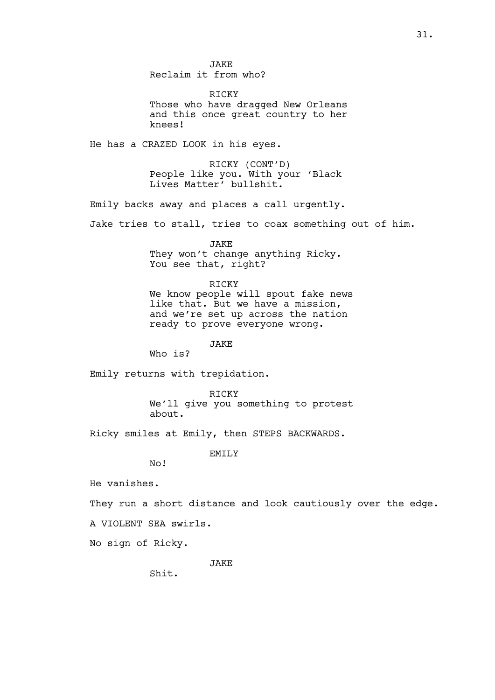**JAKE** Reclaim it from who?

RICKY Those who have dragged New Orleans and this once great country to her knees!

He has a CRAZED LOOK in his eyes.

RICKY (CONT'D) People like you. With your 'Black Lives Matter' bullshit.

Emily backs away and places a call urgently.

Jake tries to stall, tries to coax something out of him.

**JAKE** They won't change anything Ricky. You see that, right?

### RICKY

We know people will spout fake news like that. But we have a mission, and we're set up across the nation ready to prove everyone wrong.

JAKE

Who is?

Emily returns with trepidation.

RICKY We'll give you something to protest about.

Ricky smiles at Emily, then STEPS BACKWARDS.

EMILY

No!

He vanishes.

They run a short distance and look cautiously over the edge.

A VIOLENT SEA swirls.

No sign of Ricky.

JAKE

Shit.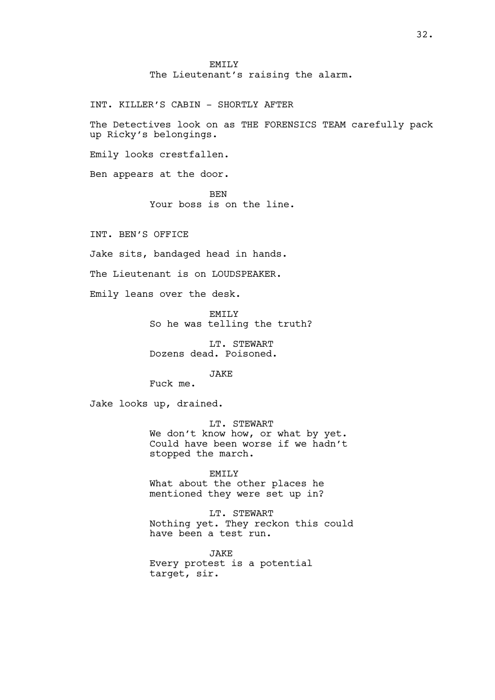EMTT<sub>.</sub>Y The Lieutenant's raising the alarm.

INT. KILLER'S CABIN - SHORTLY AFTER

The Detectives look on as THE FORENSICS TEAM carefully pack up Ricky's belongings.

Emily looks crestfallen.

Ben appears at the door.

**BEN** Your boss is on the line.

INT. BEN'S OFFICE

Jake sits, bandaged head in hands.

The Lieutenant is on LOUDSPEAKER.

Emily leans over the desk.

EMILY So he was telling the truth?

LT. STEWART Dozens dead. Poisoned.

JAKE

Fuck me.

Jake looks up, drained.

LT. STEWART We don't know how, or what by yet. Could have been worse if we hadn't stopped the march.

EMILY What about the other places he mentioned they were set up in?

LT. STEWART Nothing yet. They reckon this could have been a test run.

**JAKE** Every protest is a potential target, sir.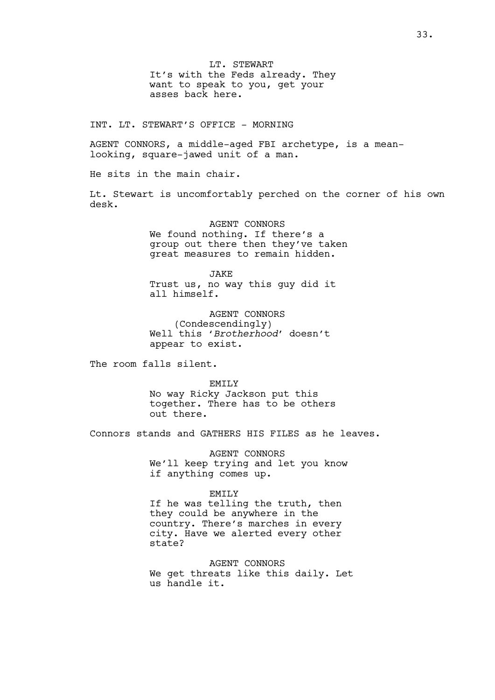LT. STEWART It's with the Feds already. They want to speak to you, get your asses back here.

INT. LT. STEWART'S OFFICE - MORNING

AGENT CONNORS, a middle-aged FBI archetype, is a meanlooking, square-jawed unit of a man.

He sits in the main chair.

Lt. Stewart is uncomfortably perched on the corner of his own desk.

> AGENT CONNORS We found nothing. If there's a group out there then they've taken great measures to remain hidden.

**JAKE** Trust us, no way this guy did it all himself.

AGENT CONNORS (Condescendingly) Well this 'Brotherhood' doesn't appear to exist.

The room falls silent.

EMILY No way Ricky Jackson put this together. There has to be others out there.

Connors stands and GATHERS HIS FILES as he leaves.

AGENT CONNORS We'll keep trying and let you know if anything comes up.

### EMILY

If he was telling the truth, then they could be anywhere in the country. There's marches in every city. Have we alerted every other state?

AGENT CONNORS We get threats like this daily. Let us handle it.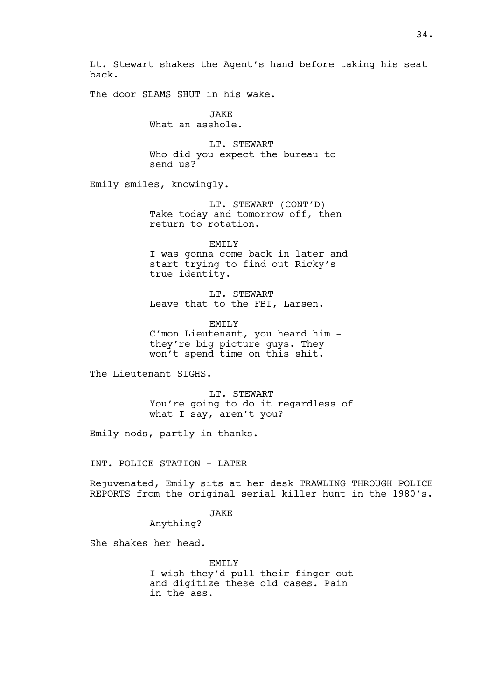Lt. Stewart shakes the Agent's hand before taking his seat back.

The door SLAMS SHUT in his wake.

**JAKE** What an asshole.

LT. STEWART Who did you expect the bureau to send us?

Emily smiles, knowingly.

LT. STEWART (CONT'D) Take today and tomorrow off, then return to rotation.

EMILY I was gonna come back in later and start trying to find out Ricky's true identity.

LT. STEWART Leave that to the FBI, Larsen.

EMILY C'mon Lieutenant, you heard him they're big picture guys. They won't spend time on this shit.

The Lieutenant SIGHS.

LT. STEWART You're going to do it regardless of what I say, aren't you?

Emily nods, partly in thanks.

INT. POLICE STATION - LATER

Rejuvenated, Emily sits at her desk TRAWLING THROUGH POLICE REPORTS from the original serial killer hunt in the 1980's.

JAKE

Anything?

She shakes her head.

EMILY I wish they'd pull their finger out and digitize these old cases. Pain in the ass.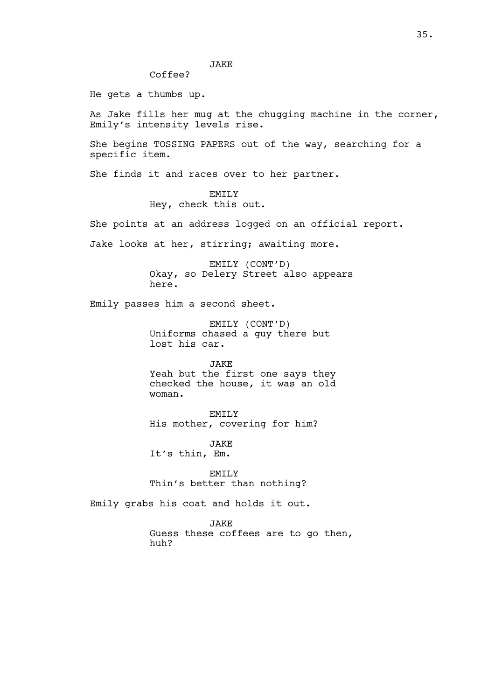JAKE

Coffee?

He gets a thumbs up.

As Jake fills her mug at the chugging machine in the corner, Emily's intensity levels rise.

She begins TOSSING PAPERS out of the way, searching for a specific item.

She finds it and races over to her partner.

EMTT<sub>.</sub>Y Hey, check this out.

She points at an address logged on an official report.

Jake looks at her, stirring; awaiting more.

EMILY (CONT'D) Okay, so Delery Street also appears here.

Emily passes him a second sheet.

EMILY (CONT'D) Uniforms chased a guy there but lost his car.

JAKE

Yeah but the first one says they checked the house, it was an old woman.

EMILY His mother, covering for him?

JAKE It's thin, Em.

EMILY Thin's better than nothing?

Emily grabs his coat and holds it out.

JAKE Guess these coffees are to go then, huh?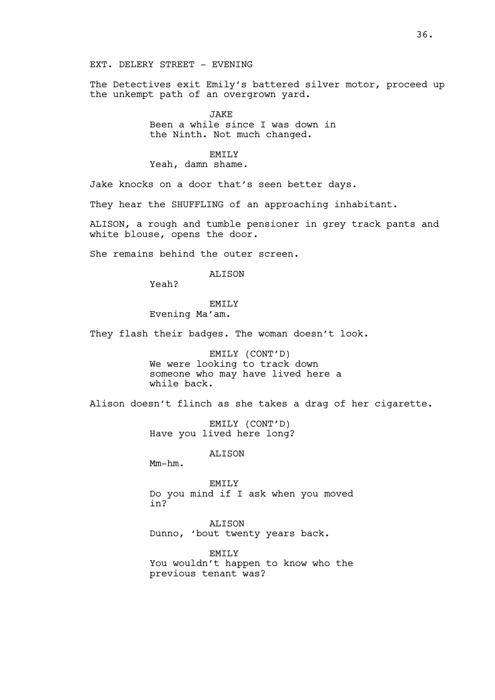# EXT. DELERY STREET - EVENING

The Detectives exit Emily's battered silver motor, proceed up the unkempt path of an overgrown yard.

> **JAKE** Been a while since I was down in the Ninth. Not much changed.

# EMTT<sub>.</sub>Y

Yeah, damn shame.

Jake knocks on a door that's seen better days.

They hear the SHUFFLING of an approaching inhabitant.

ALISON, a rough and tumble pensioner in grey track pants and white blouse, opens the door.

She remains behind the outer screen.

# **ALISON**

Yeah?

# EMILY

Evening Ma'am.

They flash their badges. The woman doesn't look.

EMILY (CONT'D) We were looking to track down someone who may have lived here a while back.

Alison doesn't flinch as she takes a drag of her cigarette.

EMILY (CONT'D) Have you lived here long?

ALISON

Mm-hm.

EMILY Do you mind if I ask when you moved in?

ALISON Dunno, 'bout twenty years back.

EMILY You wouldn't happen to know who the previous tenant was?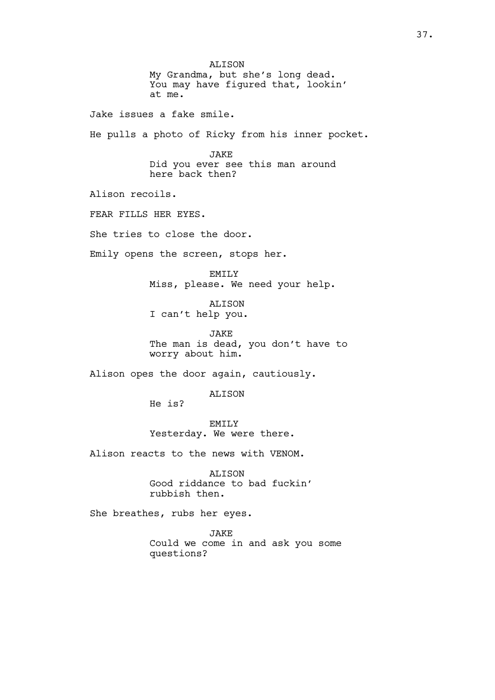ALISON My Grandma, but she's long dead. You may have figured that, lookin' at me. Jake issues a fake smile. He pulls a photo of Ricky from his inner pocket. **JAKE** Did you ever see this man around here back then? Alison recoils. FEAR FILLS HER EYES. She tries to close the door. Emily opens the screen, stops her. EMTT<sub>.</sub>Y Miss, please. We need your help. ALISON I can't help you. JAKE The man is dead, you don't have to worry about him. Alison opes the door again, cautiously. ALISON He is? EMILY Yesterday. We were there. Alison reacts to the news with VENOM. ALISON Good riddance to bad fuckin' rubbish then. She breathes, rubs her eyes. JAKE Could we come in and ask you some questions?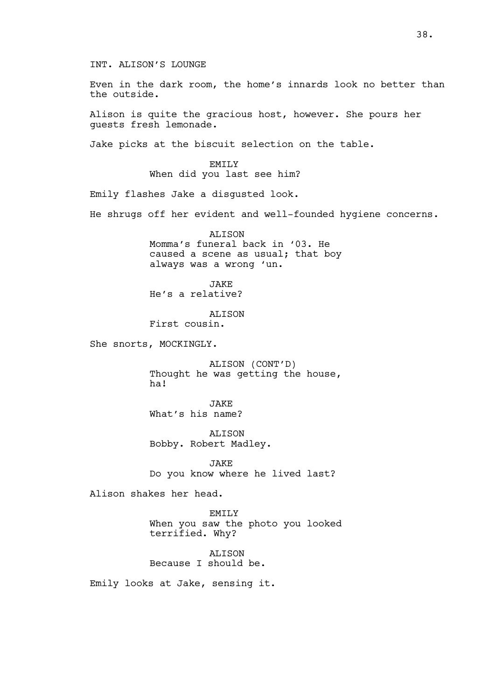INT. ALISON'S LOUNGE

Even in the dark room, the home's innards look no better than the outside.

Alison is quite the gracious host, however. She pours her guests fresh lemonade.

Jake picks at the biscuit selection on the table.

EMTT<sub>.</sub>Y When did you last see him?

Emily flashes Jake a disgusted look.

He shrugs off her evident and well-founded hygiene concerns.

**ALISON** Momma's funeral back in '03. He caused a scene as usual; that boy always was a wrong 'un.

JAKE He's a relative?

ALISON First cousin.

She snorts, MOCKINGLY.

ALISON (CONT'D) Thought he was getting the house, ha!

JAKE What's his name?

ALISON Bobby. Robert Madley.

JAKE Do you know where he lived last?

Alison shakes her head.

EMILY When you saw the photo you looked terrified. Why?

ALISON Because I should be.

Emily looks at Jake, sensing it.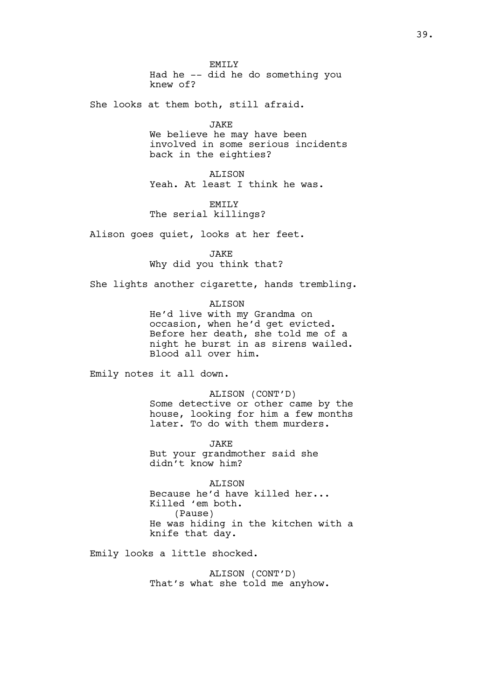EMILY Had he -- did he do something you knew of?

She looks at them both, still afraid.

**JAKE** 

We believe he may have been involved in some serious incidents back in the eighties?

ALISON Yeah. At least I think he was.

EMTT<sub>.</sub>Y The serial killings?

Alison goes quiet, looks at her feet.

**JAKE** Why did you think that?

She lights another cigarette, hands trembling.

ALISON

He'd live with my Grandma on occasion, when he'd get evicted. Before her death, she told me of a night he burst in as sirens wailed. Blood all over him.

Emily notes it all down.

ALISON (CONT'D) Some detective or other came by the house, looking for him a few months later. To do with them murders.

JAKE But your grandmother said she didn't know him?

ALISON Because he'd have killed her... Killed 'em both. (Pause) He was hiding in the kitchen with a knife that day.

Emily looks a little shocked.

ALISON (CONT'D) That's what she told me anyhow.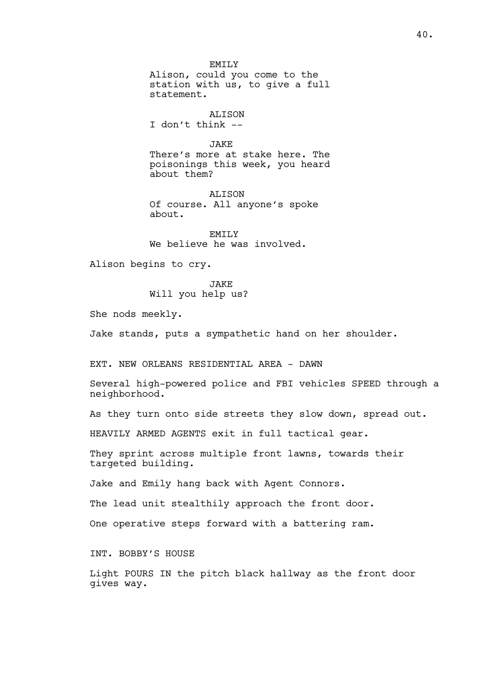EMTT<sub>.</sub>Y Alison, could you come to the station with us, to give a full statement.

ALISON I don't think --

JAKE There's more at stake here. The

poisonings this week, you heard about them?

**ALISON** Of course. All anyone's spoke about.

EMTT.Y We believe he was involved.

Alison begins to cry.

JAKE Will you help us?

She nods meekly.

Jake stands, puts a sympathetic hand on her shoulder.

EXT. NEW ORLEANS RESIDENTIAL AREA - DAWN

Several high-powered police and FBI vehicles SPEED through a neighborhood.

As they turn onto side streets they slow down, spread out.

HEAVILY ARMED AGENTS exit in full tactical gear.

They sprint across multiple front lawns, towards their targeted building.

Jake and Emily hang back with Agent Connors.

The lead unit stealthily approach the front door.

One operative steps forward with a battering ram.

INT. BOBBY'S HOUSE

Light POURS IN the pitch black hallway as the front door gives way.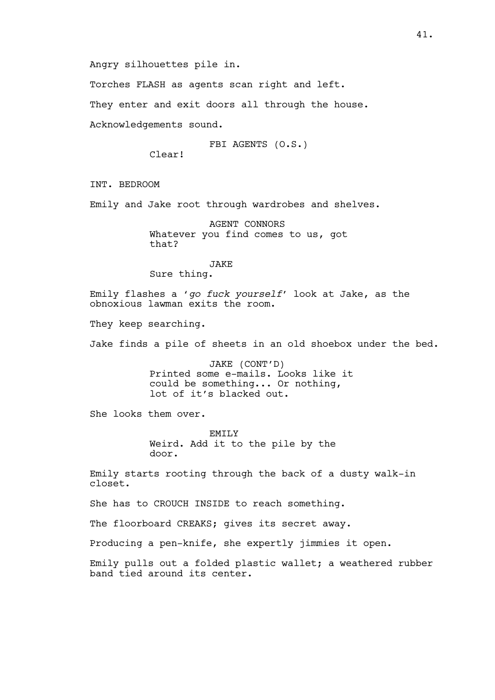Angry silhouettes pile in.

Torches FLASH as agents scan right and left.

They enter and exit doors all through the house.

Acknowledgements sound.

FBI AGENTS (O.S.)

Clear!

INT. BEDROOM

Emily and Jake root through wardrobes and shelves.

AGENT CONNORS Whatever you find comes to us, got that?

**JAKE** Sure thing.

Emily flashes a 'go fuck yourself' look at Jake, as the obnoxious lawman exits the room.

They keep searching.

Jake finds a pile of sheets in an old shoebox under the bed.

JAKE (CONT'D) Printed some e-mails. Looks like it could be something... Or nothing, lot of it's blacked out.

She looks them over.

EMILY Weird. Add it to the pile by the door.

Emily starts rooting through the back of a dusty walk-in closet.

She has to CROUCH INSIDE to reach something.

The floorboard CREAKS; gives its secret away.

Producing a pen-knife, she expertly jimmies it open.

Emily pulls out a folded plastic wallet; a weathered rubber band tied around its center.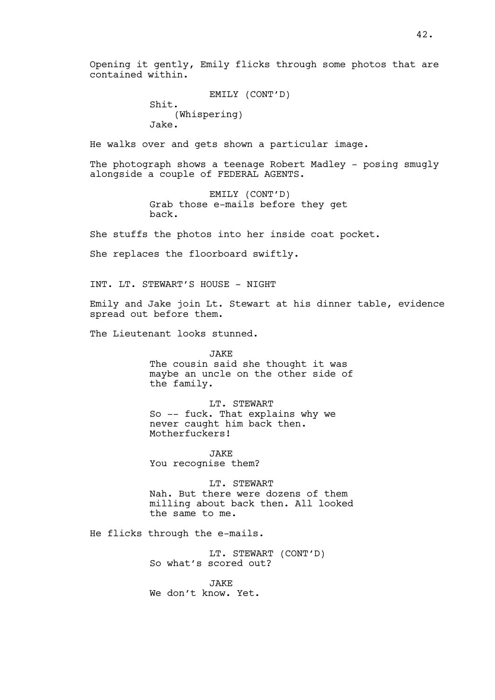Opening it gently, Emily flicks through some photos that are contained within.

```
EMILY (CONT'D)
Shit. 
    (Whispering)
Jake.
```
He walks over and gets shown a particular image.

The photograph shows a teenage Robert Madley - posing smugly alongside a couple of FEDERAL AGENTS.

> EMILY (CONT'D) Grab those e-mails before they get back.

She stuffs the photos into her inside coat pocket.

She replaces the floorboard swiftly.

INT. LT. STEWART'S HOUSE - NIGHT

Emily and Jake join Lt. Stewart at his dinner table, evidence spread out before them.

The Lieutenant looks stunned.

JAKE The cousin said she thought it was maybe an uncle on the other side of the family.

LT. STEWART So -- fuck. That explains why we never caught him back then. Motherfuckers!

JAKE You recognise them?

LT. STEWART Nah. But there were dozens of them milling about back then. All looked the same to me.

He flicks through the e-mails.

LT. STEWART (CONT'D) So what's scored out?

JAKE We don't know. Yet.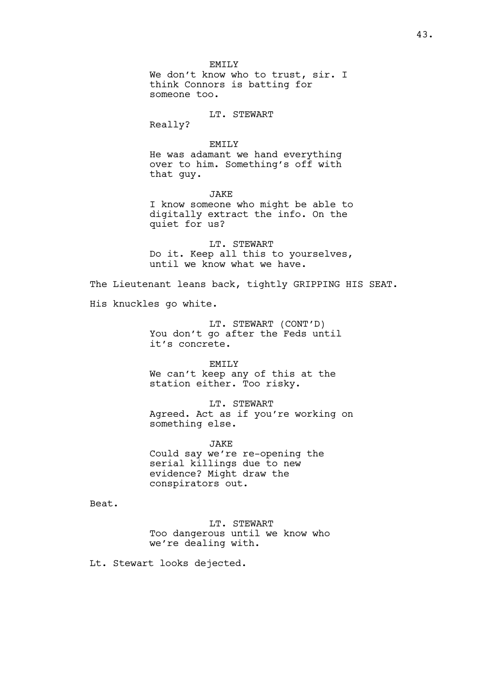EMTT<sub>.</sub>Y We don't know who to trust, sir. I think Connors is batting for someone too. LT. STEWART Really? EMTT<sub>.</sub>Y He was adamant we hand everything over to him. Something's off with that guy. **JAKE** I know someone who might be able to digitally extract the info. On the quiet for us? LT. STEWART Do it. Keep all this to yourselves, until we know what we have. The Lieutenant leans back, tightly GRIPPING HIS SEAT. His knuckles go white. LT. STEWART (CONT'D) You don't go after the Feds until it's concrete. EMILY We can't keep any of this at the station either. Too risky. LT. STEWART Agreed. Act as if you're working on something else. JAKE Could say we're re-opening the serial killings due to new evidence? Might draw the conspirators out. Beat.

> LT. STEWART Too dangerous until we know who we're dealing with.

Lt. Stewart looks dejected.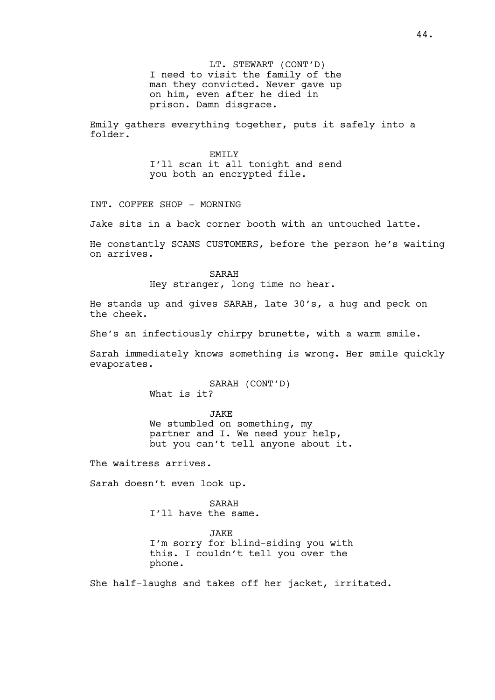LT. STEWART (CONT'D) I need to visit the family of the man they convicted. Never gave up on him, even after he died in prison. Damn disgrace.

Emily gathers everything together, puts it safely into a folder.

> EMTT<sub>.</sub>Y I'll scan it all tonight and send you both an encrypted file.

INT. COFFEE SHOP - MORNING

Jake sits in a back corner booth with an untouched latte.

He constantly SCANS CUSTOMERS, before the person he's waiting on arrives.

SARAH

Hey stranger, long time no hear.

He stands up and gives SARAH, late 30's, a hug and peck on the cheek.

She's an infectiously chirpy brunette, with a warm smile.

Sarah immediately knows something is wrong. Her smile quickly evaporates.

> SARAH (CONT'D) What is it?

JAKE We stumbled on something, my partner and I. We need your help, but you can't tell anyone about it.

The waitress arrives.

Sarah doesn't even look up.

SARAH I'll have the same.

JAKE I'm sorry for blind-siding you with this. I couldn't tell you over the phone.

She half-laughs and takes off her jacket, irritated.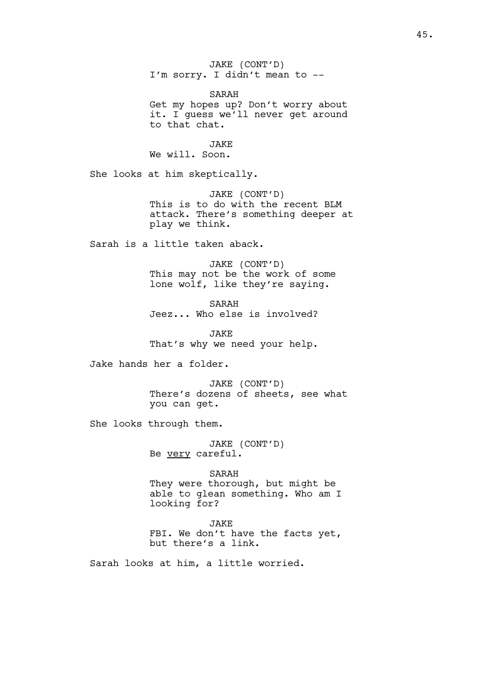JAKE (CONT'D) I'm sorry. I didn't mean to -- SARAH Get my hopes up? Don't worry about it. I guess we'll never get around to that chat. JAKE We will. Soon. She looks at him skeptically. JAKE (CONT'D) This is to do with the recent BLM attack. There's something deeper at play we think. Sarah is a little taken aback. JAKE (CONT'D) This may not be the work of some lone wolf, like they're saying. SARAH Jeez... Who else is involved? **JAKE** That's why we need your help. Jake hands her a folder. JAKE (CONT'D) There's dozens of sheets, see what you can get. She looks through them. JAKE (CONT'D) Be very careful. SARAH They were thorough, but might be able to glean something. Who am I looking for? JAKE FBI. We don't have the facts yet, but there's a link. Sarah looks at him, a little worried.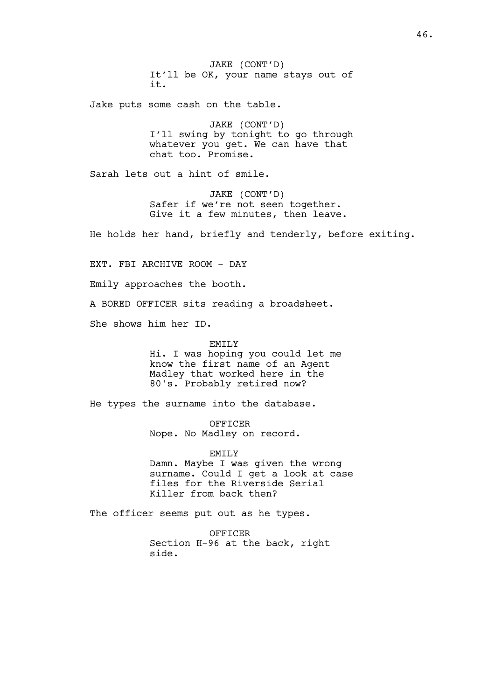JAKE (CONT'D) It'll be OK, your name stays out of it.

Jake puts some cash on the table.

JAKE (CONT'D) I'll swing by tonight to go through whatever you get. We can have that chat too. Promise.

Sarah lets out a hint of smile.

JAKE (CONT'D) Safer if we're not seen together. Give it a few minutes, then leave.

He holds her hand, briefly and tenderly, before exiting.

EXT. FBI ARCHIVE ROOM - DAY

Emily approaches the booth.

A BORED OFFICER sits reading a broadsheet.

She shows him her ID.

EMTT<sub>.</sub>Y

Hi. I was hoping you could let me know the first name of an Agent Madley that worked here in the 80's. Probably retired now?

He types the surname into the database.

OFFICER Nope. No Madley on record.

EMILY Damn. Maybe I was given the wrong surname. Could I get a look at case files for the Riverside Serial Killer from back then?

The officer seems put out as he types.

OFFICER Section H-96 at the back, right side.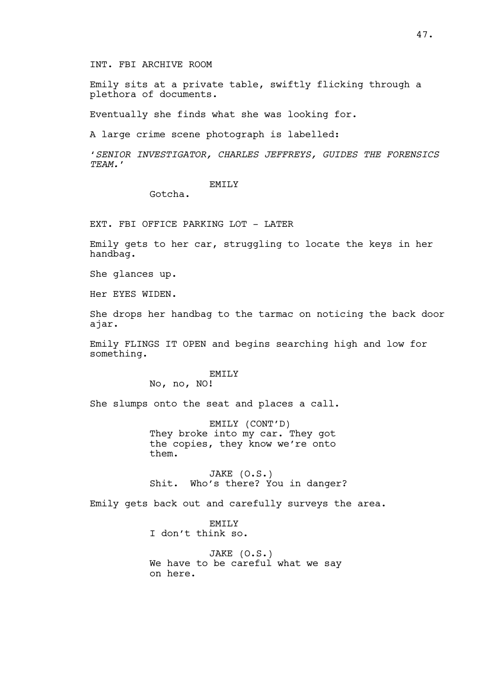# INT. FBI ARCHIVE ROOM

Emily sits at a private table, swiftly flicking through a plethora of documents.

Eventually she finds what she was looking for.

A large crime scene photograph is labelled:

'SENIOR INVESTIGATOR, CHARLES JEFFREYS, GUIDES THE FORENSICS TEAM.'

### EMTT<sub>.</sub>Y

Gotcha.

EXT. FBI OFFICE PARKING LOT - LATER

Emily gets to her car, struggling to locate the keys in her handbag.

She glances up.

Her EYES WIDEN.

She drops her handbag to the tarmac on noticing the back door ajar.

Emily FLINGS IT OPEN and begins searching high and low for something.

## EMILY

No, no, NO!

She slumps onto the seat and places a call.

EMILY (CONT'D) They broke into my car. They got the copies, they know we're onto them.

JAKE (O.S.) Shit. Who's there? You in danger?

Emily gets back out and carefully surveys the area.

EMILY I don't think so.

JAKE (O.S.) We have to be careful what we say on here.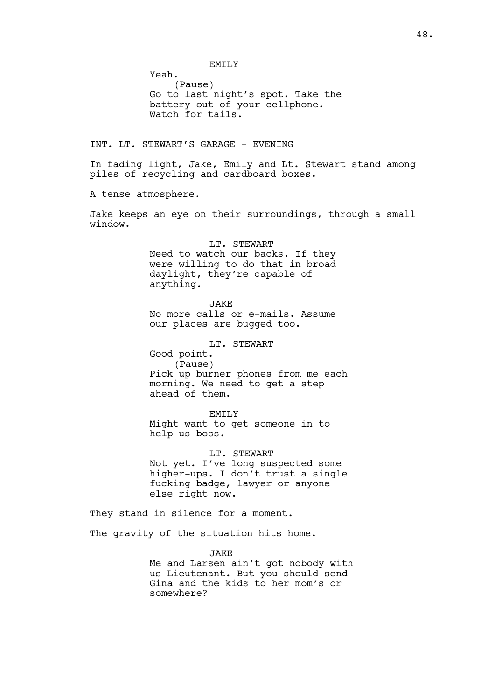# EMTT<sub>.</sub>Y

(Pause) Go to last night's spot. Take the battery out of your cellphone. Watch for tails.

INT. LT. STEWART'S GARAGE - EVENING

Yeah.

In fading light, Jake, Emily and Lt. Stewart stand among piles of recycling and cardboard boxes.

A tense atmosphere.

Jake keeps an eye on their surroundings, through a small window.

LT. STEWART

Need to watch our backs. If they were willing to do that in broad daylight, they're capable of anything.

JAKE

No more calls or e-mails. Assume our places are bugged too.

LT. STEWART

Good point. (Pause) Pick up burner phones from me each morning. We need to get a step ahead of them.

EMILY

Might want to get someone in to help us boss.

LT. STEWART

Not yet. I've long suspected some higher-ups. I don't trust a single fucking badge, lawyer or anyone else right now.

They stand in silence for a moment.

The gravity of the situation hits home.

JAKE

Me and Larsen ain't got nobody with us Lieutenant. But you should send Gina and the kids to her mom's or somewhere?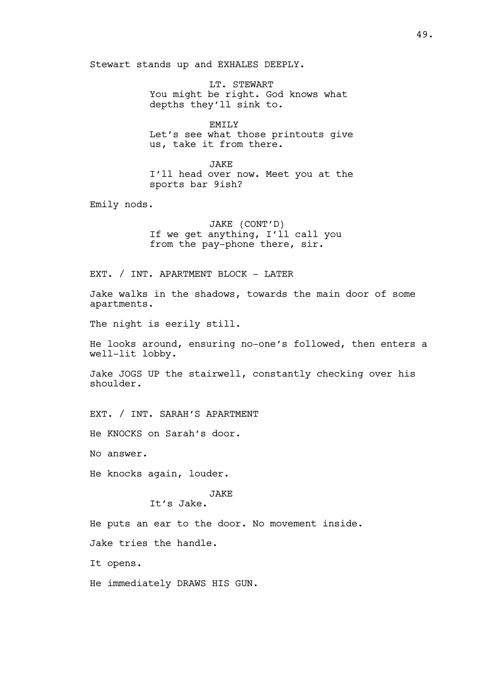Stewart stands up and EXHALES DEEPLY.

LT. STEWART You might be right. God knows what depths they'll sink to.

EMTT<sub>.</sub>Y Let's see what those printouts give us, take it from there.

**JAKE** I'll head over now. Meet you at the sports bar 9ish?

Emily nods.

JAKE (CONT'D) If we get anything, I'll call you from the pay-phone there, sir.

EXT. / INT. APARTMENT BLOCK - LATER

Jake walks in the shadows, towards the main door of some apartments.

The night is eerily still.

He looks around, ensuring no-one's followed, then enters a well-lit lobby.

Jake JOGS UP the stairwell, constantly checking over his shoulder.

EXT. / INT. SARAH'S APARTMENT

He KNOCKS on Sarah's door.

No answer.

He knocks again, louder.

JAKE

It's Jake.

He puts an ear to the door. No movement inside.

Jake tries the handle.

It opens.

He immediately DRAWS HIS GUN.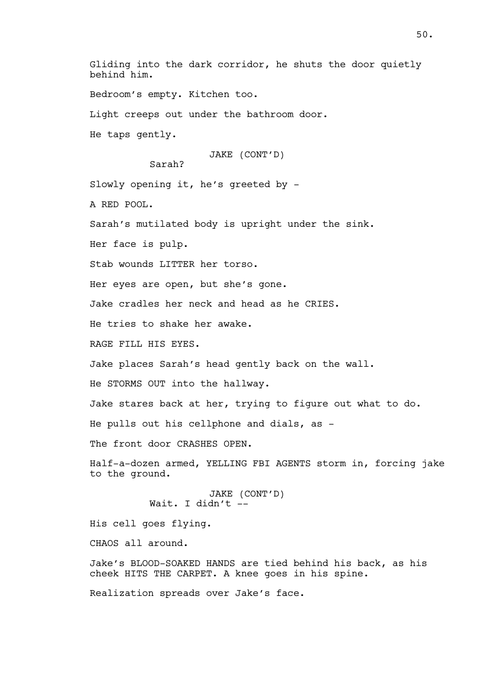Gliding into the dark corridor, he shuts the door quietly behind him.

Bedroom's empty. Kitchen too.

Light creeps out under the bathroom door.

He taps gently.

JAKE (CONT'D)

Sarah?

Slowly opening it, he's greeted by -

A RED POOL.

Sarah's mutilated body is upright under the sink.

Her face is pulp.

Stab wounds LITTER her torso.

Her eyes are open, but she's gone.

Jake cradles her neck and head as he CRIES.

He tries to shake her awake.

RAGE FILL HIS EYES.

Jake places Sarah's head gently back on the wall.

He STORMS OUT into the hallway.

Jake stares back at her, trying to figure out what to do.

He pulls out his cellphone and dials, as -

The front door CRASHES OPEN.

Half-a-dozen armed, YELLING FBI AGENTS storm in, forcing jake to the ground.

> JAKE (CONT'D) Wait. I didn't --

His cell goes flying.

CHAOS all around.

Jake's BLOOD-SOAKED HANDS are tied behind his back, as his cheek HITS THE CARPET. A knee goes in his spine.

Realization spreads over Jake's face.